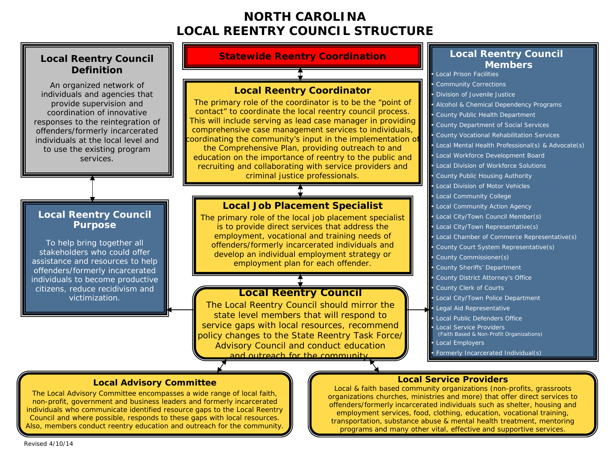# **NORTH CAROLINA LOCAL REENTRY COUNCIL STRUCTURE**

# **Definition**

An organized network of individuals and agencies that provide supervision and coordination of innovative responses to the reintegration of offenders/formerly incarcerated individuals at the local level and to use the existing program services.

#### **Local Reentry Council Purpose**

To help bring together all stakeholders who could offer assistance and resources to help offenders/formerly incarcerated individuals to become productive citizens, reduce recidivism and victimization.

### **Local Reentry Council Statewide Reentry Coordination**

#### **Local Reentry Coordinator**

The primary role of the coordinator is to be the "point of contact" to coordinate the local reentry council process. This will include serving as lead case manager in providing comprehensive case management services to individuals, coordinating the community's input in the implementation o the Comprehensive Plan, providing outreach to and education on the importance of reentry to the public and recruiting and collaborating with service providers and criminal justice professionals.

#### **Local Job Placement Specialist**

The primary role of the local job placement specialist is to provide direct services that address the employment, vocational and training needs of offenders/formerly incarcerated individuals and develop an individual employment strategy or employment plan for each offender.

## **Local Reentry Council**

The Local Reentry Council should mirror the state level members that will respond to service gaps with local resources, recommend policy changes to the State Reentry Task Force/ Advisory Council and conduct education and outreach for the community

#### **Local Reentry Council Members**

• Local Prison Facilities • Community Corrections • Division of Juvenile Justice • Alcohol & Chemical Dependency Programs • County Public Health Department • County Department of Social Services • County Vocational Rehabilitation Services • Local Mental Health Professional(s) & Advocate(s) • Local Workforce Development Board • Local Division of Workforce Solutions • County Public Housing Authority • Local Division of Motor Vehicles • Local Community College Local Community Action Agency • Local City/Town Council Member(s) • Local City/Town Representative(s) • Local Chamber of Commerce Representative(s) • County Court System Representative(s) County Commissioner(s) • County Sheriffs' Department • County District Attorney's Office County Clerk of Courts • Local City/Town Police Department • Legal Aid Representative Local Public Defenders Office **Local Service Providers**  (Faith Based & Non-Profit Organizations) • Local Employers • Formerly Incarcerated Individual(s)

#### **Local Service Providers**

Local & faith based community organizations (non-profits, grassroots organizations churches, ministries and more) that offer direct services to offenders/formerly incarcerated individuals such as shelter, housing and employment services, food, clothing, education, vocational training, transportation, substance abuse & mental health treatment, mentoring programs and many other vital, effective and supportive services.

#### **Local Advisory Committee**

The Local Advisory Committee encompasses a wide range of local faith, non-profit, government and business leaders and formerly incarcerated individuals who communicate identified resource gaps to the Local Reentry Council and where possible, responds to these gaps with local resources. Also, members conduct reentry education and outreach for the community.